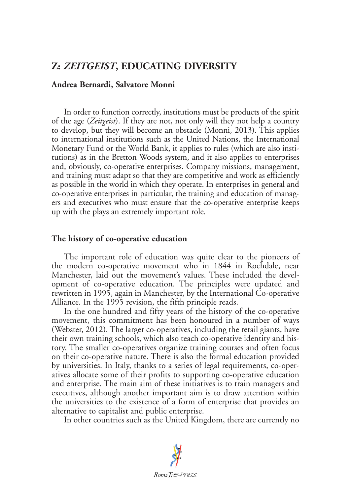# **Z:** *ZEITGEIST***, EDUCATING DIVERSITY**

### **Andrea Bernardi, Salvatore Monni**

In order to function correctly, institutions must be products of the spirit of the age (*Zeitgeist*). If they are not, not only will they not help a country to develop, but they will become an obstacle (Monni, 2013). This applies to international institutions such as the United Nations, the International Monetary Fund or the World Bank, it applies to rules (which are also institutions) as in the Bretton Woods system, and it also applies to enterprises and, obviously, co-operative enterprises. Company missions, management, and training must adapt so that they are competitive and work as efficiently as possible in the world in which they operate. In enterprises in general and co-operative enterprises in particular, the training and education of managers and executives who must ensure that the co-operative enterprise keeps up with the plays an extremely important role.

## **The history of co-operative education**

The important role of education was quite clear to the pioneers of the modern co-operative movement who in 1844 in Rochdale, near Manchester, laid out the movement's values. These included the development of co-operative education. The principles were updated and rewritten in 1995, again in Manchester, by the International Co-operative Alliance. In the 1995 revision, the fifth principle reads.

In the one hundred and fifty years of the history of the co-operative movement, this commitment has been honoured in a number of ways (Webster, 2012). The larger co-operatives, including the retail giants, have their own training schools, which also teach co-operative identity and history. The smaller co-operatives organize training courses and often focus on their co-operative nature. There is also the formal education provided by universities. In Italy, thanks to a series of legal requirements, co-operatives allocate some of their profits to supporting co-operative education and enterprise. The main aim of these initiatives is to train managers and executives, although another important aim is to draw attention within the universities to the existence of a form of enterprise that provides an alternative to capitalist and public enterprise.

In other countries such as the United Kingdom, there are currently no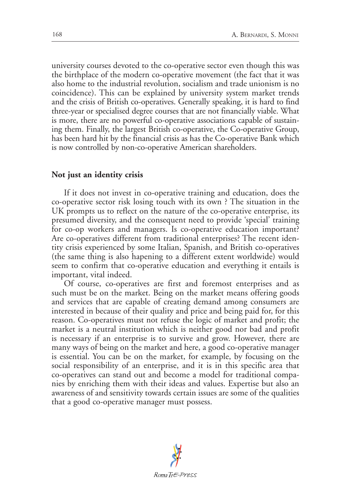university courses devoted to the co-operative sector even though this was the birthplace of the modern co-operative movement (the fact that it was also home to the industrial revolution, socialism and trade unionism is no coincidence). This can be explained by university system market trends and the crisis of British co-operatives. Generally speaking, it is hard to find three-year or specialised degree courses that are not financially viable. What is more, there are no powerful co-operative associations capable of sustaining them. Finally, the largest British co-operative, the Co-operative Group, has been hard hit by the financial crisis as has the Co-operative Bank which is now controlled by non-co-operative American shareholders.

#### **Not just an identity crisis**

If it does not invest in co-operative training and education, does the co-operative sector risk losing touch with its own ? The situation in the UK prompts us to reflect on the nature of the co-operative enterprise, its presumed diversity, and the consequent need to provide 'special' training for co-op workers and managers. Is co-operative education important? Are co-operatives different from traditional enterprises? The recent identity crisis experienced by some Italian, Spanish, and British co-operatives (the same thing is also hapening to a different extent worldwide) would seem to confirm that co-operative education and everything it entails is important, vital indeed.

Of course, co-operatives are first and foremost enterprises and as such must be on the market. Being on the market means offering goods and services that are capable of creating demand among consumers are interested in because of their quality and price and being paid for, for this reason. Co-operatives must not refuse the logic of market and profit; the market is a neutral institution which is neither good nor bad and profit is necessary if an enterprise is to survive and grow. However, there are many ways of being on the market and here, a good co-operative manager is essential. You can be on the market, for example, by focusing on the social responsibility of an enterprise, and it is in this specific area that co-operatives can stand out and become a model for traditional companies by enriching them with their ideas and values. Expertise but also an awareness of and sensitivity towards certain issues are some of the qualities that a good co-operative manager must possess.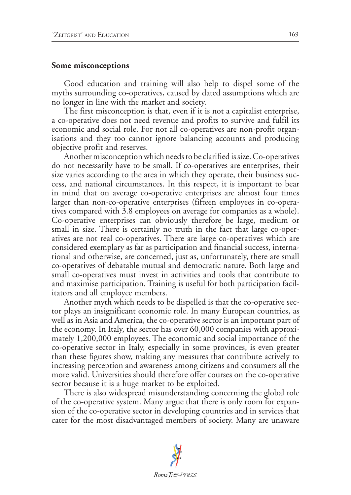#### **Some misconceptions**

Good education and training will also help to dispel some of the myths surrounding co-operatives, caused by dated assumptions which are no longer in line with the market and society.

The first misconception is that, even if it is not a capitalist enterprise, a co-operative does not need revenue and profits to survive and fulfil its economic and social role. For not all co-operatives are non-profit organisations and they too cannot ignore balancing accounts and producing objective profit and reserves.

Another misconception which needs to be clarified is size. Co-operatives do not necessarily have to be small. If co-operatives are enterprises, their size varies according to the area in which they operate, their business success, and national circumstances. In this respect, it is important to bear in mind that on average co-operative enterprises are almost four times larger than non-co-operative enterprises (fifteen employees in co-operatives compared with 3.8 employees on average for companies as a whole). Co-operative enterprises can obviously therefore be large, medium or small in size. There is certainly no truth in the fact that large co-operatives are not real co-operatives. There are large co-operatives which are considered exemplary as far as participation and financial success, international and otherwise, are concerned, just as, unfortunately, there are small co-operatives of debatable mutual and democratic nature. Both large and small co-operatives must invest in activities and tools that contribute to and maximise participation. Training is useful for both participation facilitators and all employee members.

Another myth which needs to be dispelled is that the co-operative sector plays an insignificant economic role. In many European countries, as well as in Asia and America, the co-operative sector is an important part of the economy. In Italy, the sector has over 60,000 companies with approximately 1,200,000 employees. The economic and social importance of the co-operative sector in Italy, especially in some provinces, is even greater than these figures show, making any measures that contribute actively to increasing perception and awareness among citizens and consumers all the more valid. Universities should therefore offer courses on the co-operative sector because it is a huge market to be exploited.

There is also widespread misunderstanding concerning the global role of the co-operative system. Many argue that there is only room for expansion of the co-operative sector in developing countries and in services that cater for the most disadvantaged members of society. Many are unaware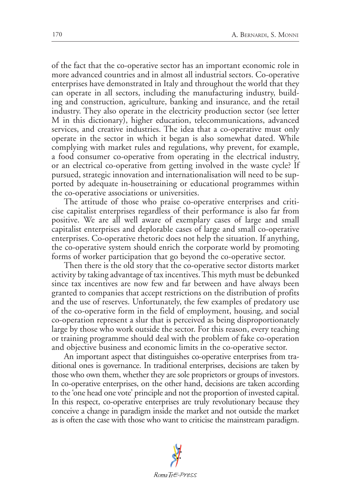of the fact that the co-operative sector has an important economic role in more advanced countries and in almost all industrial sectors. Co-operative enterprises have demonstrated in Italy and throughout the world that they can operate in all sectors, including the manufacturing industry, building and construction, agriculture, banking and insurance, and the retail industry. They also operate in the electricity production sector (see letter M in this dictionary), higher education, telecommunications, advanced services, and creative industries. The idea that a co-operative must only operate in the sector in which it began is also somewhat dated. While complying with market rules and regulations, why prevent, for example, a food consumer co-operative from operating in the electrical industry, or an electrical co-operative from getting involved in the waste cycle? If pursued, strategic innovation and internationalisation will need to be supported by adequate in-housetraining or educational programmes within the co-operative associations or universities.

The attitude of those who praise co-operative enterprises and criticise capitalist enterprises regardless of their performance is also far from positive. We are all well aware of exemplary cases of large and small capitalist enterprises and deplorable cases of large and small co-operative enterprises. Co-operative rhetoric does not help the situation. If anything, the co-operative system should enrich the corporate world by promoting forms of worker participation that go beyond the co-operative sector.

Then there is the old story that the co-operative sector distorts market activity by taking advantage of tax incentives. This myth must be debunked since tax incentives are now few and far between and have always been granted to companies that accept restrictions on the distribution of profits and the use of reserves. Unfortunately, the few examples of predatory use of the co-operative form in the field of employment, housing, and social co-operation represent a slur that is perceived as being disproportionately large by those who work outside the sector. For this reason, every teaching or training programme should deal with the problem of fake co-operation and objective business and economic limits in the co-operative sector.

An important aspect that distinguishes co-operative enterprises from traditional ones is governance. In traditional enterprises, decisions are taken by those who own them, whether they are sole proprietors or groups of investors. In co-operative enterprises, on the other hand, decisions are taken according to the 'one head one vote' principle and not the proportion of invested capital. In this respect, co-operative enterprises are truly revolutionary because they conceive a change in paradigm inside the market and not outside the market as is often the case with those who want to criticise the mainstream paradigm.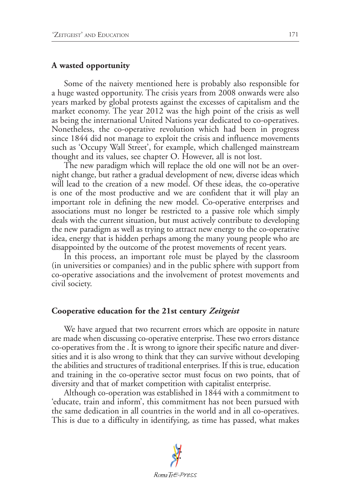### **A wasted opportunity**

Some of the naivety mentioned here is probably also responsible for a huge wasted opportunity. The crisis years from 2008 onwards were also years marked by global protests against the excesses of capitalism and the market economy. The year 2012 was the high point of the crisis as well as being the international United Nations year dedicated to co-operatives. Nonetheless, the co-operative revolution which had been in progress since 1844 did not manage to exploit the crisis and influence movements such as 'Occupy Wall Street', for example, which challenged mainstream thought and its values, see chapter O. However, all is not lost.

The new paradigm which will replace the old one will not be an overnight change, but rather a gradual development of new, diverse ideas which will lead to the creation of a new model. Of these ideas, the co-operative is one of the most productive and we are confident that it will play an important role in defining the new model. Co-operative enterprises and associations must no longer be restricted to a passive role which simply deals with the current situation, but must actively contribute to developing the new paradigm as well as trying to attract new energy to the co-operative idea, energy that is hidden perhaps among the many young people who are disappointed by the outcome of the protest movements of recent years.

In this process, an important role must be played by the classroom (in universities or companies) and in the public sphere with support from co-operative associations and the involvement of protest movements and civil society.

#### **Cooperative education for the 21st century** *Zeitgeist*

We have argued that two recurrent errors which are opposite in nature are made when discussing co-operative enterprise. These two errors distance co-operatives from the . It is wrong to ignore their specific nature and diversities and it is also wrong to think that they can survive without developing the abilities and structures of traditional enterprises. If this is true, education and training in the co-operative sector must focus on two points, that of diversity and that of market competition with capitalist enterprise.

Although co-operation was established in 1844 with a commitment to 'educate, train and inform', this commitment has not been pursued with the same dedication in all countries in the world and in all co-operatives. This is due to a difficulty in identifying, as time has passed, what makes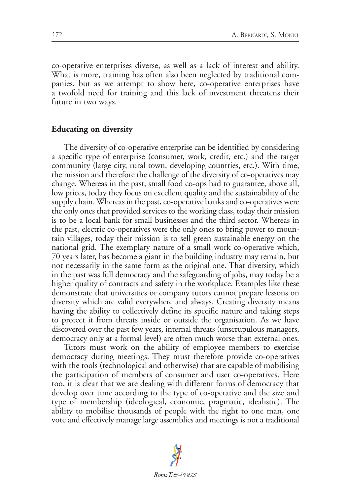co-operative enterprises diverse, as well as a lack of interest and ability. What is more, training has often also been neglected by traditional companies, but as we attempt to show here, co-operative enterprises have a twofold need for training and this lack of investment threatens their future in two ways.

#### **Educating on diversity**

The diversity of co-operative enterprise can be identified by considering a specific type of enterprise (consumer, work, credit, etc.) and the target community (large city, rural town, developing countries, etc.). With time, the mission and therefore the challenge of the diversity of co-operatives may change. Whereas in the past, small food co-ops had to guarantee, above all, low prices, today they focus on excellent quality and the sustainability of the supply chain. Whereas in the past, co-operative banks and co-operatives were the only ones that provided services to the working class, today their mission is to be a local bank for small businesses and the third sector. Whereas in the past, electric co-operatives were the only ones to bring power to mountain villages, today their mission is to sell green sustainable energy on the national grid. The exemplary nature of a small work co-operative which, 70 years later, has become a giant in the building industry may remain, but not necessarily in the same form as the original one. That diversity, which in the past was full democracy and the safeguarding of jobs, may today be a higher quality of contracts and safety in the workplace. Examples like these demonstrate that universities or company tutors cannot prepare lessons on diversity which are valid everywhere and always. Creating diversity means having the ability to collectively define its specific nature and taking steps to protect it from threats inside or outside the organisation. As we have discovered over the past few years, internal threats (unscrupulous managers, democracy only at a formal level) are often much worse than external ones.

Tutors must work on the ability of employee members to exercise democracy during meetings. They must therefore provide co-operatives with the tools (technological and otherwise) that are capable of mobilising the participation of members of consumer and user co-operatives. Here too, it is clear that we are dealing with different forms of democracy that develop over time according to the type of co-operative and the size and type of membership (ideological, economic, pragmatic, idealistic). The ability to mobilise thousands of people with the right to one man, one vote and effectively manage large assemblies and meetings is not a traditional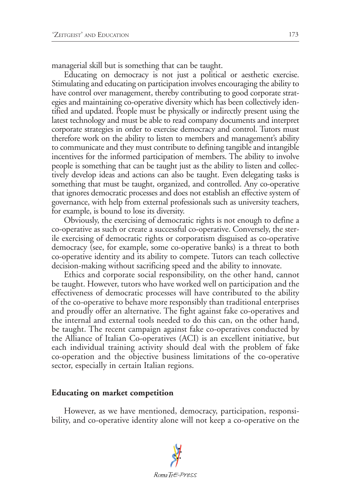managerial skill but is something that can be taught.

Educating on democracy is not just a political or aesthetic exercise. Stimulating and educating on participation involves encouraging the ability to have control over management, thereby contributing to good corporate strategies and maintaining co-operative diversity which has been collectively identified and updated. People must be physically or indirectly present using the latest technology and must be able to read company documents and interpret corporate strategies in order to exercise democracy and control. Tutors must therefore work on the ability to listen to members and management's ability to communicate and they must contribute to defining tangible and intangible incentives for the informed participation of members. The ability to involve people is something that can be taught just as the ability to listen and collectively develop ideas and actions can also be taught. Even delegating tasks is something that must be taught, organized, and controlled. Any co-operative that ignores democratic processes and does not establish an effective system of governance, with help from external professionals such as university teachers, for example, is bound to lose its diversity.

Obviously, the exercising of democratic rights is not enough to define a co-operative as such or create a successful co-operative. Conversely, the sterile exercising of democratic rights or corporatism disguised as co-operative democracy (see, for example, some co-operative banks) is a threat to both co-operative identity and its ability to compete. Tutors can teach collective decision-making without sacrificing speed and the ability to innovate.

Ethics and corporate social responsibility, on the other hand, cannot be taught. However, tutors who have worked well on participation and the effectiveness of democratic processes will have contributed to the ability of the co-operative to behave more responsibly than traditional enterprises and proudly offer an alternative. The fight against fake co-operatives and the internal and external tools needed to do this can, on the other hand, be taught. The recent campaign against fake co-operatives conducted by the Alliance of Italian Co-operatives (ACI) is an excellent initiative, but each individual training activity should deal with the problem of fake co-operation and the objective business limitations of the co-operative sector, especially in certain Italian regions.

## **Educating on market competition**

However, as we have mentioned, democracy, participation, responsibility, and co-operative identity alone will not keep a co-operative on the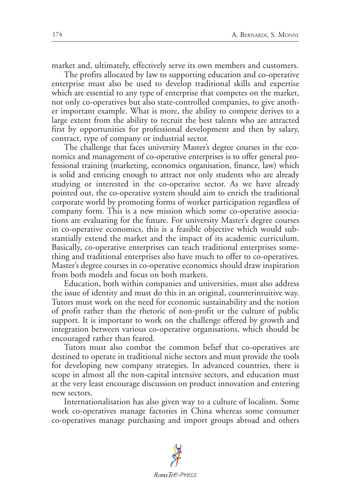market and, ultimately, effectively serve its own members and customers.

The profits allocated by law to supporting education and co-operative enterprise must also be used to develop traditional skills and expertise which are essential to any type of enterprise that competes on the market, not only co-operatives but also state-controlled companies, to give another important example. What is more, the ability to compete derives to a large extent from the ability to recruit the best talents who are attracted first by opportunities for professional development and then by salary, contract, type of company or industrial sector.

The challenge that faces university Master's degree courses in the economics and management of co-operative enterprises is to offer general professional training (marketing, economics organisation, finance, law) which is solid and enticing enough to attract not only students who are already studying or interested in the co-operative sector. As we have already pointed out, the co-operative system should aim to enrich the traditional corporate world by promoting forms of worker participation regardless of company form. This is a new mission which some co-operative associations are evaluating for the future. For university Master's degree courses in co-operative economics, this is a feasible objective which would substantially extend the market and the impact of its academic curriculum. Basically, co-operative enterprises can teach traditional enterprises something and traditional enterprises also have much to offer to co-operatives. Master's degree courses in co-operative economics should draw inspiration from both models and focus on both markets.

Education, both within companies and universities, must also address the issue of identity and must do this in an original, counterintuitive way. Tutors must work on the need for economic sustainability and the notion of profit rather than the rhetoric of non-profit or the culture of public support. It is important to work on the challenge offered by growth and integration between various co-operative organisations, which should be encouraged rather than feared.

Tutors must also combat the common belief that co-operatives are destined to operate in traditional niche sectors and must provide the tools for developing new company strategies. In advanced countries, there is scope in almost all the non-capital intensive sectors, and education must at the very least encourage discussion on product innovation and entering new sectors.

Internationalisation has also given way to a culture of localism. Some work co-operatives manage factories in China whereas some consumer co-operatives manage purchasing and import groups abroad and others